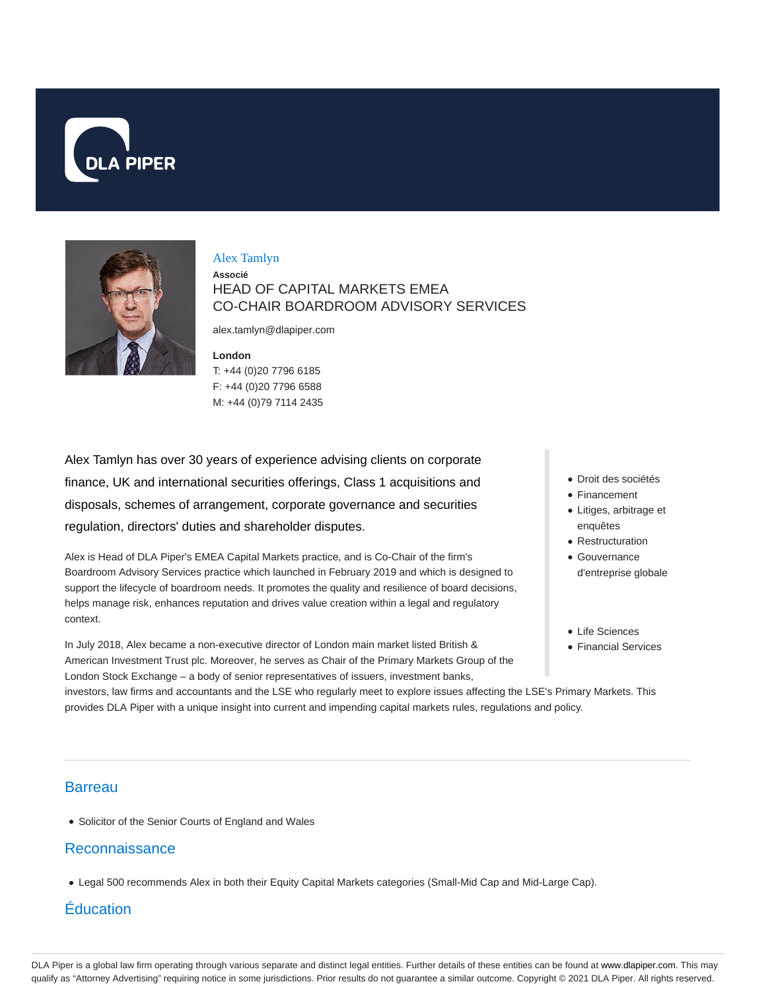



#### Alex Tamlyn

**Associé** HEAD OF CAPITAL MARKETS EMEA CO-CHAIR BOARDROOM ADVISORY SERVICES

alex.tamlyn@dlapiper.com

**London** T: +44 (0)20 7796 6185 F: +44 (0)20 7796 6588 M: +44 (0)79 7114 2435

Alex Tamlyn has over 30 years of experience advising clients on corporate finance, UK and international securities offerings, Class 1 acquisitions and disposals, schemes of arrangement, corporate governance and securities regulation, directors' duties and shareholder disputes.

Alex is Head of DLA Piper's EMEA Capital Markets practice, and is Co-Chair of the firm's Boardroom Advisory Services practice which launched in February 2019 and which is designed to support the lifecycle of boardroom needs. It promotes the quality and resilience of board decisions, helps manage risk, enhances reputation and drives value creation within a legal and regulatory context.

In July 2018, Alex became a non-executive director of London main market listed British & American Investment Trust plc. Moreover, he serves as Chair of the Primary Markets Group of the London Stock Exchange – a body of senior representatives of issuers, investment banks,

- Droit des sociétés
- Financement
- Litiges, arbitrage et enquêtes
- Restructuration
- Gouvernance d'entreprise globale
- Life Sciences
- Financial Services

investors, law firms and accountants and the LSE who regularly meet to explore issues affecting the LSE's Primary Markets. This provides DLA Piper with a unique insight into current and impending capital markets rules, regulations and policy.

### **Barreau**

• Solicitor of the Senior Courts of England and Wales

#### Reconnaissance

Legal 500 recommends Alex in both their Equity Capital Markets categories (Small-Mid Cap and Mid-Large Cap).

# Éducation

DLA Piper is a global law firm operating through various separate and distinct legal entities. Further details of these entities can be found at www.dlapiper.com. This may qualify as "Attorney Advertising" requiring notice in some jurisdictions. Prior results do not guarantee a similar outcome. Copyright © 2021 DLA Piper. All rights reserved.